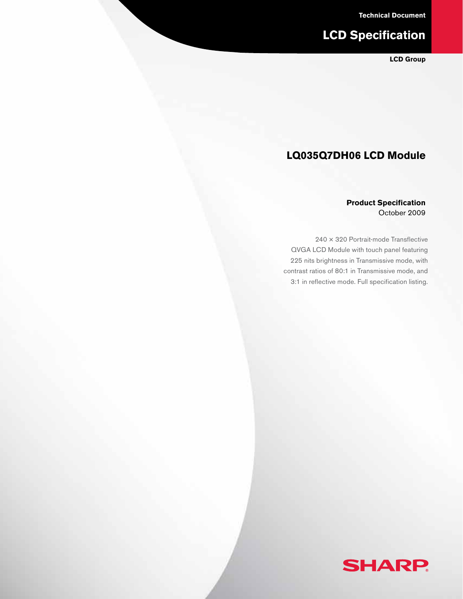**Technical Document**

# **LCD Specification**

**LCD Group**

# **LQ035Q7DH06 LCD Module**

#### **Product Specification** October 2009

240 × 320 Portrait-mode Transflective QVGA LCD Module with touch panel featuring 225 nits brightness in Transmissive mode, with contrast ratios of 80:1 in Transmissive mode, and 3:1 in reflective mode. Full specification listing.

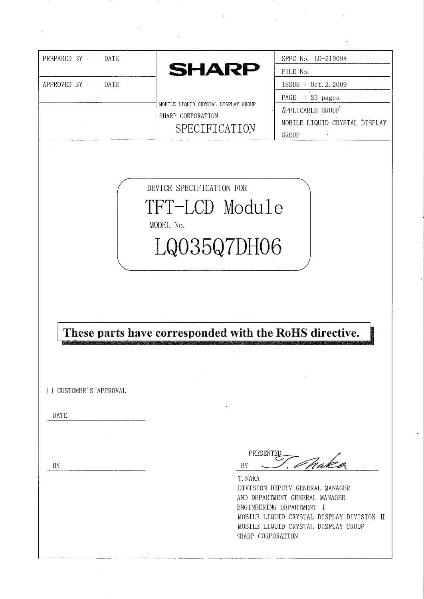| DATE<br>PREPARED BY :      |                                                        | SPEC No. LD-21909A                        |
|----------------------------|--------------------------------------------------------|-------------------------------------------|
|                            | <b>SHARP</b>                                           | FILE No.                                  |
| APPROVED BY :<br>DATE      |                                                        | ISSUE : 0ct. 2.2009                       |
|                            | MOBILE LIQUID CRYSTAL DISPLAY GROUP                    | PAGE : 23 pages                           |
|                            | SHARP CORPORATION                                      | APPLICABLE GROUP                          |
|                            | SPECIFICATION                                          | MOBILE LIQUID CRYSTAL DISPLAY             |
|                            |                                                        | <b>GROUP</b>                              |
|                            |                                                        |                                           |
|                            |                                                        |                                           |
|                            |                                                        |                                           |
|                            | DEVICE SPECIFICATION FOR                               |                                           |
|                            | TFT-LCD Module                                         |                                           |
|                            |                                                        |                                           |
|                            | MODEL No.                                              |                                           |
|                            | LQ035Q7DH06                                            |                                           |
|                            |                                                        |                                           |
|                            |                                                        |                                           |
|                            |                                                        |                                           |
|                            |                                                        |                                           |
|                            |                                                        |                                           |
|                            |                                                        |                                           |
|                            |                                                        |                                           |
|                            |                                                        |                                           |
|                            | These parts have corresponded with the RoHS directive. |                                           |
|                            |                                                        |                                           |
|                            |                                                        |                                           |
|                            |                                                        |                                           |
| <b>CUSTOMER'S APPROVAL</b> |                                                        |                                           |
|                            |                                                        |                                           |
| DATE                       |                                                        |                                           |
|                            |                                                        |                                           |
|                            |                                                        |                                           |
|                            | PRESENTED                                              |                                           |
| BY                         | BY                                                     | naka                                      |
|                            | T. NAKA                                                |                                           |
|                            |                                                        | DIVISION DEPUTY GENERAL MANAGER           |
|                            |                                                        | AND DEPARTMENT GENERAL MANAGER            |
|                            |                                                        | ENGINEERING DEPARTMENT I                  |
|                            |                                                        | MOBILE LIQUID CRYSTAL DISPLAY GROUP       |
|                            | SHARP CORPORATION                                      | MOBILE LIQUID CRYSTAL DISPLAY DIVISION II |

 $\label{eq:2} \frac{1}{\sqrt{2}}\int_{0}^{\pi}\frac{1}{\sqrt{2}}\left(\frac{1}{\sqrt{2}}\right)^{2}d\mu_{\rm{eff}}\,.$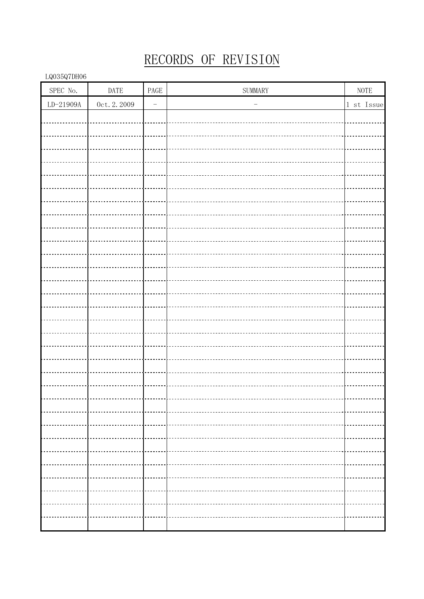# RECORDS OF REVISION

| ${\rm SPEC}$ No. | $\ensuremath{\mathsf{DATE}}$ | PAGE                     | $\operatorname{SUMMARY}$ | $\operatorname{NOTE}$ |
|------------------|------------------------------|--------------------------|--------------------------|-----------------------|
| $LD-21909A$      | $0c$ t. 2. 2009              | $\overline{\phantom{0}}$ | $\qquad \qquad -$        | 1 st Issue            |
|                  |                              |                          |                          |                       |
|                  |                              |                          |                          |                       |
|                  |                              |                          |                          |                       |
|                  |                              |                          |                          |                       |
|                  |                              |                          |                          |                       |
|                  |                              |                          |                          |                       |
|                  |                              |                          |                          |                       |
|                  |                              |                          |                          |                       |
|                  |                              |                          |                          |                       |
|                  |                              |                          |                          |                       |
|                  |                              |                          |                          |                       |
|                  |                              |                          |                          |                       |
|                  |                              |                          |                          |                       |
|                  |                              |                          |                          |                       |
|                  |                              |                          |                          |                       |
|                  |                              |                          |                          |                       |
|                  |                              |                          |                          |                       |
|                  |                              |                          |                          |                       |
|                  |                              |                          |                          |                       |
|                  |                              |                          |                          |                       |
|                  |                              |                          |                          |                       |
|                  |                              |                          |                          |                       |
|                  |                              |                          |                          |                       |
|                  |                              |                          |                          |                       |
|                  |                              |                          |                          |                       |
|                  | --------                     |                          |                          | .                     |
|                  |                              |                          |                          |                       |
|                  |                              |                          |                          |                       |
|                  |                              |                          |                          |                       |
|                  |                              |                          |                          |                       |
|                  |                              |                          |                          |                       |
|                  |                              |                          |                          |                       |
|                  |                              |                          |                          |                       |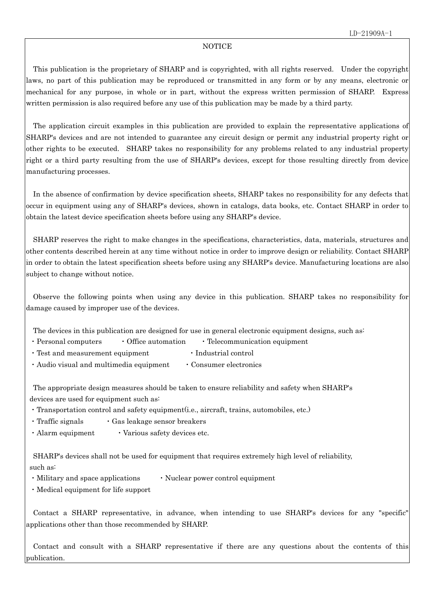#### **NOTICE**

 This publication is the proprietary of SHARP and is copyrighted, with all rights reserved. Under the copyright laws, no part of this publication may be reproduced or transmitted in any form or by any means, electronic or mechanical for any purpose, in whole or in part, without the express written permission of SHARP. Express written permission is also required before any use of this publication may be made by a third party.

 The application circuit examples in this publication are provided to explain the representative applications of SHARP's devices and are not intended to guarantee any circuit design or permit any industrial property right or other rights to be executed. SHARP takes no responsibility for any problems related to any industrial property right or a third party resulting from the use of SHARP's devices, except for those resulting directly from device manufacturing processes.

 In the absence of confirmation by device specification sheets, SHARP takes no responsibility for any defects that occur in equipment using any of SHARP's devices, shown in catalogs, data books, etc. Contact SHARP in order to obtain the latest device specification sheets before using any SHARP's device.

 SHARP reserves the right to make changes in the specifications, characteristics, data, materials, structures and other contents described herein at any time without notice in order to improve design or reliability. Contact SHARP in order to obtain the latest specification sheets before using any SHARP's device. Manufacturing locations are also subject to change without notice.

 Observe the following points when using any device in this publication. SHARP takes no responsibility for damage caused by improper use of the devices.

The devices in this publication are designed for use in general electronic equipment designs, such as:

- $\cdot$  Personal computers  $\cdot$  Office automation  $\cdot$  Telecommunication equipment
- Test and measurement equipment Industrial control
- Audio visual and multimedia equipment Consumer electronics

 The appropriate design measures should be taken to ensure reliability and safety when SHARP's devices are used for equipment such as:

- ・Transportation control and safety equipment(i.e., aircraft, trains, automobiles, etc.)
- Traffic signals Gas leakage sensor breakers
- $\cdot$  Alarm equipment  $\cdot$  Various safety devices etc.

 SHARP's devices shall not be used for equipment that requires extremely high level of reliability, such as:

- Military and space applications Nuclear power control equipment
- ・Medical equipment for life support

 Contact a SHARP representative, in advance, when intending to use SHARP's devices for any "specific" applications other than those recommended by SHARP.

 Contact and consult with a SHARP representative if there are any questions about the contents of this publication.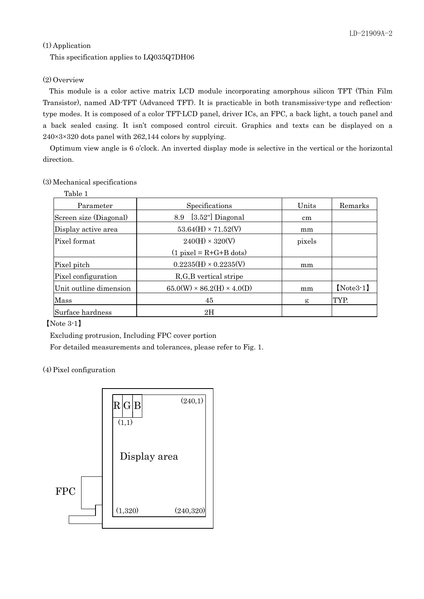## (1) Application

This specification applies to LQ035Q7DH06

## (2) Overview

This module is a color active matrix LCD module incorporating amorphous silicon TFT (Thin Film Transistor), named AD-TFT (Advanced TFT). It is practicable in both transmissive-type and reflectiontype modes. It is composed of a color TFT-LCD panel, driver ICs, an FPC, a back light, a touch panel and a back sealed casing. It isn't composed control circuit. Graphics and texts can be displayed on a 240×3×320 dots panel with 262,144 colors by supplying.

 Optimum view angle is 6 o'clock. An inverted display mode is selective in the vertical or the horizontal direction.

### (3) Mechanical specifications

| Table 1                |                                        |        |             |
|------------------------|----------------------------------------|--------|-------------|
| Parameter              | Specifications                         | Units  | Remarks     |
| Screen size (Diagonal) | $[3.52"]$ Diagonal<br>8.9              | cm     |             |
| Display active area    | $53.64(H) \times 71.52(V)$             | mm     |             |
| Pixel format           | $240(H) \times 320(V)$                 | pixels |             |
|                        | $(1$ pixel = R+G+B dots)               |        |             |
| Pixel pitch            | $0.2235(H) \times 0.2235(V)$           | mm     |             |
| Pixel configuration    | R, G, B vertical stripe                |        |             |
| Unit outline dimension | $65.0(W) \times 86.2(H) \times 4.0(D)$ | mm     | $[Note3-1]$ |
| Mass                   | 45                                     | g      | TYP.        |
| Surface hardness       | 2H                                     |        |             |

【Note 3-1】

Excluding protrusion, Including FPC cover portion

For detailed measurements and tolerances, please refer to Fig. 1.

#### (4) Pixel configuration

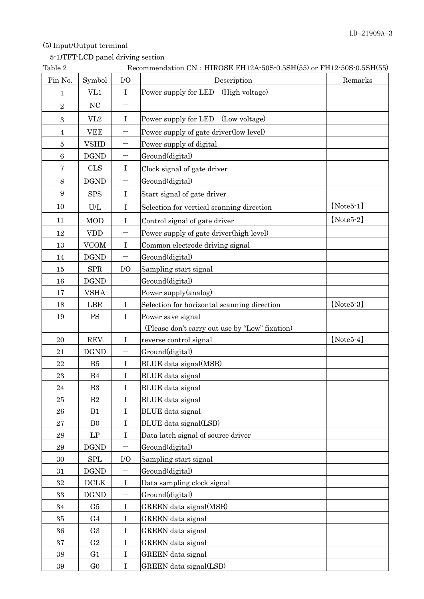# (5) Input/Output terminal

## 5-1)TFT-LCD panel driving section

| Table 2          |                       |                          | Recommendation CN : HIROSE FH12A-50S-0.5SH(55) or FH12-50S-0.5SH(55) |              |
|------------------|-----------------------|--------------------------|----------------------------------------------------------------------|--------------|
| Pin No.          | Symbol                | I/O                      | Description                                                          | Remarks      |
| 1                | VL1                   | $\bf{I}$                 | Power supply for LED<br>(High voltage)                               |              |
| $\sqrt{2}$       | NC                    |                          |                                                                      |              |
| 3                | VL2                   | $\bf{I}$                 | Power supply for LED (Low voltage)                                   |              |
| 4                | <b>VEE</b>            | $\overline{\phantom{0}}$ | Power supply of gate driver(low level)                               |              |
| 5                | <b>VSHD</b>           |                          | Power supply of digital                                              |              |
| $\,6\,$          | <b>DGND</b>           | $\overline{\phantom{0}}$ | Ground(digital)                                                      |              |
| 7                | <b>CLS</b>            | $\bf I$                  | Clock signal of gate driver                                          |              |
| $8\,$            | <b>DGND</b>           |                          | Ground(digital)                                                      |              |
| $\boldsymbol{9}$ | <b>SPS</b>            | $\rm I$                  | Start signal of gate driver                                          |              |
| 10               | U/L                   | $\mathbf I$              | Selection for vertical scanning direction                            | $[Note 5-1]$ |
| 11               | <b>MOD</b>            | $\bf{I}$                 | Control signal of gate driver                                        | $[Note 5-2]$ |
| 12               | <b>VDD</b>            |                          | Power supply of gate driver(high level)                              |              |
| 13               | <b>VCOM</b>           | $\mathbf I$              | Common electrode driving signal                                      |              |
| 14               | <b>DGND</b>           | $\overline{\phantom{0}}$ | Ground(digital)                                                      |              |
| 15               | <b>SPR</b>            | I/O                      | Sampling start signal                                                |              |
| 16               | <b>DGND</b>           | $\overline{\phantom{0}}$ | Ground(digital)                                                      |              |
| 17               | <b>VSHA</b>           |                          | Power supply(analog)                                                 |              |
| 18               | LBR                   | $\rm I$                  | Selection for horizontal scanning direction                          | $[Note 5-3]$ |
| 19               | <b>PS</b>             | $\rm I$                  | Power save signal                                                    |              |
|                  |                       |                          | (Please don't carry out use by "Low" fixation)                       |              |
| 20               | <b>REV</b>            | $\bf{I}$                 | reverse control signal                                               | $[Note 5-4]$ |
| 21               | <b>DGND</b>           |                          | Ground(digital)                                                      |              |
| 22               | B5                    | $\mathbf I$              | BLUE data signal(MSB)                                                |              |
| 23               | B4                    | $\rm I$                  | <b>BLUE</b> data signal                                              |              |
| 24               | B3                    | $\mathbf I$              | BLUE data signal                                                     |              |
| 25               | $\rm B2$              | $\bf{I}$                 | <b>BLUE</b> data signal                                              |              |
| 26               | B1                    | I                        | <b>BLUE</b> data signal                                              |              |
| 27               | B <sub>0</sub>        | $\mathbf I$              | BLUE data signal(LSB)                                                |              |
| 28               | LP                    | $\mathbf I$              | Data latch signal of source driver                                   |              |
| 29               | <b>DGND</b>           |                          | Ground(digital)                                                      |              |
| 30               | <b>SPL</b>            | I/O                      | Sampling start signal                                                |              |
| 31               | <b>DGND</b>           |                          | Ground(digital)                                                      |              |
| 32               | $\operatorname{DCLK}$ | $\mathbf I$              | Data sampling clock signal                                           |              |
| 33               | <b>DGND</b>           |                          | Ground(digital)                                                      |              |
| 34               | G5                    | $\bf{I}$                 | GREEN data signal(MSB)                                               |              |
| 35               | G <sub>4</sub>        | $\bf{I}$                 | GREEN data signal                                                    |              |
| 36               | G <sub>3</sub>        | $\rm I$                  | GREEN data signal                                                    |              |
| 37               | G <sub>2</sub>        | $\mathbf I$              | GREEN data signal                                                    |              |
| 38               | G <sub>1</sub>        | $\rm I$                  | <b>GREEN</b> data signal                                             |              |
| 39               | G <sub>0</sub>        | I                        | GREEN data signal(LSB)                                               |              |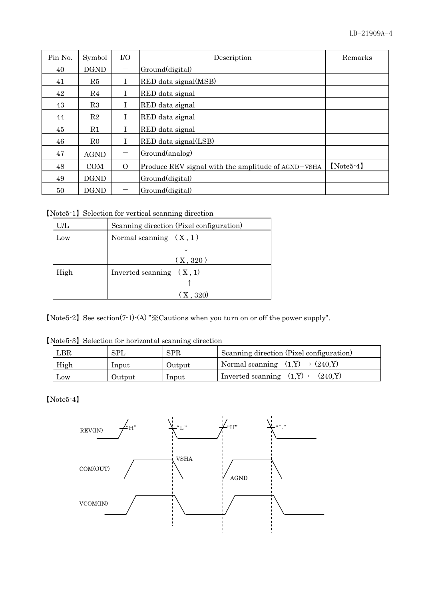| Pin No. | Symbol      | I/O                            | Description                                        | Remarks     |
|---------|-------------|--------------------------------|----------------------------------------------------|-------------|
| 40      | <b>DGND</b> | $\qquad \qquad \longleftarrow$ | Ground(digital)                                    |             |
| 41      | R5          | T                              | RED data signal(MSB)                               |             |
| 42      | R4          | L                              | RED data signal                                    |             |
| 43      | R3          | L                              | RED data signal                                    |             |
| 44      | $\rm R2$    | L                              | RED data signal                                    |             |
| 45      | R1          | L                              | RED data signal                                    |             |
| 46      | $_{\rm R0}$ | L                              | RED data signal(LSB)                               |             |
| 47      | <b>AGND</b> |                                | Ground(analog)                                     |             |
| 48      | <b>COM</b>  | $\Omega$                       | Produce REV signal with the amplitude of AGND-VSHA | $[Note5-4]$ |
| 49      | <b>DGND</b> | $\hspace{0.05cm}$              | Ground(digital)                                    |             |
| 50      | <b>DGND</b> |                                | Ground(digital)                                    |             |

【Note5-1】Selection for vertical scanning direction

| U/L  | Scanning direction (Pixel configuration) |
|------|------------------------------------------|
| Low  | Normal scanning $(X, 1)$                 |
|      |                                          |
|      | (X, 320)                                 |
| High | Inverted scanning $(X, 1)$               |
|      |                                          |
|      | (X, 320)                                 |

【Note5-2】See section(7-1)-(A) "※Cautions when you turn on or off the power supply".

|  |  |  | [Note5-3] Selection for horizontal scanning direction |
|--|--|--|-------------------------------------------------------|
|--|--|--|-------------------------------------------------------|

| $_{\rm LBR}$ | <b>SPL</b> | <b>SPR</b> | Scanning direction (Pixel configuration)       |
|--------------|------------|------------|------------------------------------------------|
| High         | Input      | Output     | Normal scanning $(1, Y) \rightarrow (240, Y)$  |
| Low          | Output     | Input      | Inverted scanning $(1, Y) \leftarrow (240, Y)$ |

【Note5-4】

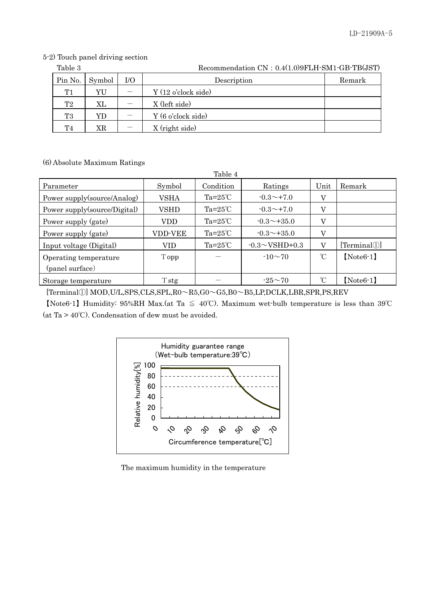|  |  |  | 5-2) Touch panel driving section |  |
|--|--|--|----------------------------------|--|
|--|--|--|----------------------------------|--|

| Table 3 | Recommendation CN: 0.4(1.0)9FLH-SM1-GB-TB(JST) |       |                     |        |  |  |
|---------|------------------------------------------------|-------|---------------------|--------|--|--|
| Pin No. | Symbol                                         | $U$ O | Description         | Remark |  |  |
| T1      | YU                                             |       | Y (12 o'clock side) |        |  |  |
| T2      | ΧL                                             |       | X (left side)       |        |  |  |
| T3      | YD                                             |       | Y (6 o'clock side)  |        |  |  |
| T4      | ΧR                                             |       | X (right side)      |        |  |  |

(6) Absolute Maximum Ratings

|                              |             | Table 4            |                      |                |              |
|------------------------------|-------------|--------------------|----------------------|----------------|--------------|
| Parameter                    | Symbol      | Condition          | Ratings              | Unit           | Remark       |
| Power supply(source/Analog)  | VSHA        | $Ta=25^{\circ}C$   | $-0.3 \sim +7.0$     | V              |              |
| Power supply(source/Digital) | <b>VSHD</b> | $Ta=25^{\circ}C$   | $-0.3 \sim +7.0$     | $\rm V$        |              |
| Power supply (gate)          | <b>VDD</b>  | $Ta=25^{\circ}C$   | $-0.3 \sim +35.0$    | $\rm V$        |              |
| Power supply (gate)          | VDD-VEE     | $Ta=25^{\circ}C$   | $-0.3 \sim +35.0$    | $\rm V$        |              |
| Input voltage (Digital)      | VID         | Ta= $25^{\circ}$ C | $-0.3 \sim VSHD+0.3$ | $\overline{V}$ | [Terminal()] |
| Operating temperature        | Topp        |                    | $-10\sim 70$         | °C             | $[Note 6-1]$ |
| (panel surface)              |             |                    |                      |                |              |
| Storage temperature          | Tstg        |                    | $-25 \sim 70$        | $\mathcal{C}$  | $[Note 6-1]$ |

[Terminal①] MOD,U/L,SPS,CLS,SPL,R0~R5,G0~G5,B0~B5,LP,DCLK,LBR,SPR,PS,REV

【Note6-1】Humidity: 95%RH Max.(at Ta ≦ 40℃). Maximum wet-bulb temperature is less than 39℃ (at Ta > 40℃). Condensation of dew must be avoided.



The maximum humidity in the temperature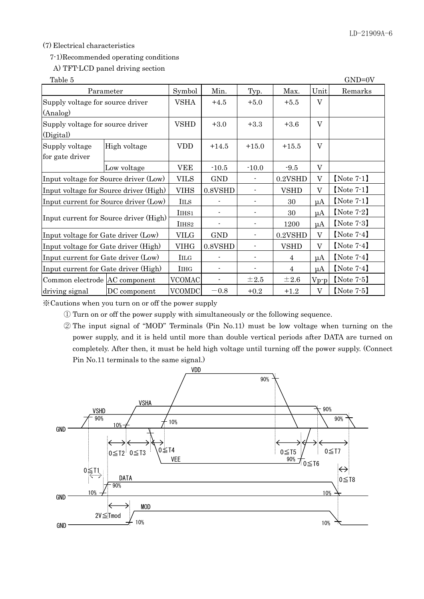#### (7) Electrical characteristics

#### 7-1)Recommended operating conditions

## A) TFT-LCD panel driving section

| Table 5                               |                                        |                          |                          |                          |             |              | $GND=0V$      |
|---------------------------------------|----------------------------------------|--------------------------|--------------------------|--------------------------|-------------|--------------|---------------|
| Parameter                             | Symbol                                 | Min.                     | Typ.                     | Max.                     | Unit        | Remarks      |               |
| Supply voltage for source driver      |                                        | <b>VSHA</b>              | $+4.5$                   | $+5.0$                   | $+5.5$      | V            |               |
| (Analog)                              |                                        |                          |                          |                          |             |              |               |
| Supply voltage for source driver      |                                        | <b>VSHD</b>              | $+3.0$                   | $+3.3$                   | $+3.6$      | $\rm V$      |               |
| (Digital)                             |                                        |                          |                          |                          |             |              |               |
| Supply voltage                        | High voltage                           | <b>VDD</b>               | $+14.5$                  | $+15.0$                  | $+15.5$     | V            |               |
| for gate driver                       |                                        |                          |                          |                          |             |              |               |
|                                       | Low voltage                            | VEE                      | $-10.5$                  | $-10.0$                  | $-9.5$      | $\rm V$      |               |
| Input voltage for Source driver (Low) |                                        | <b>VILS</b>              | <b>GND</b>               |                          | 0.2VSHD     | V            | $[Note 7-1]$  |
|                                       | Input voltage for Source driver (High) | <b>VIHS</b>              | 0.8VSHD                  | $\overline{\phantom{a}}$ | <b>VSHD</b> | $\rm V$      | $[Note 7-1]$  |
|                                       | Input current for Source driver (Low)  | <b>IILS</b>              |                          | $\overline{\phantom{a}}$ | 30          | $\mu A$      | $[Note 7-1]$  |
|                                       |                                        | IIHS1                    |                          |                          | 30          | $\mu A$      | [Note $7-2$ ] |
|                                       | Input current for Source driver (High) | IIHS <sub>2</sub>        |                          | $\overline{a}$           | 1200        | $\mu A$      | $[Note 7-3]$  |
| Input voltage for Gate driver (Low)   |                                        | <b>VILG</b>              | <b>GND</b>               |                          | 0.2VSHD     | V            | $[Note 7-4]$  |
| Input voltage for Gate driver (High)  |                                        | <b>VIHG</b>              | 0.8VSHD                  |                          | <b>VSHD</b> | $\mathbf{V}$ | $[Note 7-4]$  |
| Input current for Gate driver (Low)   | <b>IILG</b>                            |                          | $\overline{\phantom{a}}$ | $\overline{4}$           | $\mu A$     | $[Note 7-4]$ |               |
| Input current for Gate driver (High)  | <b>I</b> IHG                           |                          |                          | $\overline{4}$           | $\mu A$     | $[Note 7-4]$ |               |
| Common electrode AC component         | <b>VCOMAC</b>                          | $\overline{\phantom{0}}$ | $\pm 2.5$                | $\pm 2.6$                | $Vp-p$      | $[Note 7-5]$ |               |
| driving signal                        | DC component                           | <b>VCOMDC</b>            | $-0.8$                   | $+0.2$                   | $+1.2$      | $\mathbf{V}$ | [Note $7-5$ ] |

※ Cautions when you turn on or off the power supply

① Turn on or off the power supply with simultaneously or the following sequence.

② The input signal of "MOD" Terminals (Pin No.11) must be low voltage when turning on the power supply, and it is held until more than double vertical periods after DATA are turned on completely. After then, it must be held high voltage until turning off the power supply. (Connect Pin No.11 terminals to the same signal.)

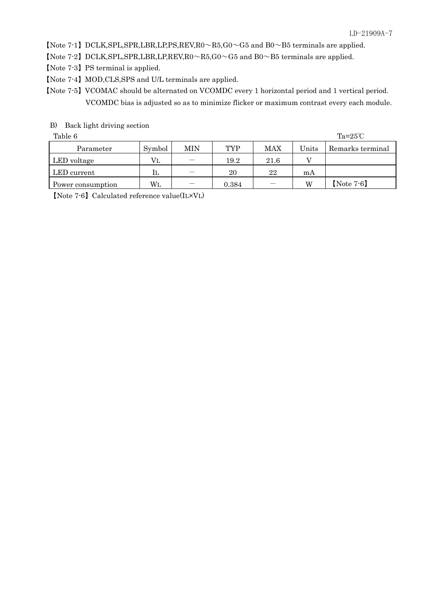[Note 7-1] DCLK, SPL, SPR, LBR, LP, PS, REV, R0  $\sim$  R5, G0  $\sim$  G5 and B0 $\sim$  B5 terminals are applied.

【Note 7-2】DCLK,SPL,SPR,LBR,LP,REV,R0~R5,G0~G5 and B0~B5 terminals are applied.

【Note 7-3】PS terminal is applied.

【Note 7-4】MOD,CLS,SPS and U/L terminals are applied.

【Note 7-5】VCOMAC should be alternated on VCOMDC every 1 horizontal period and 1 vertical period. VCOMDC bias is adjusted so as to minimize flicker or maximum contrast every each module.

#### B) Back light driving section

Table 6 Table 6  $\text{Ta}=25^{\circ}\text{C}$ 

| Parameter         | Symbol      | MIN | <b>TYP</b> | MAX  | Units | Remarks terminal |
|-------------------|-------------|-----|------------|------|-------|------------------|
| LED voltage       | $_{\rm VL}$ |     | 19.2       | 21.6 |       |                  |
| LED current       | IL          |     | 20         | 22   | mA    |                  |
| Power consumption | WL          |     | 0.384      |      | W     | $[Note 7-6]$     |

【Note 7-6】Calculated reference value(IL×VL)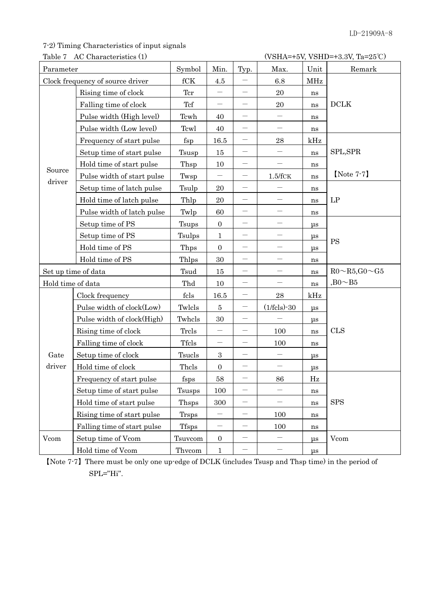# 7-2) Timing Characteristics of input signals

Table 7 AC Characteristics (1) (VSHA=+5V, VSHD=+3.3V, Ta=25℃)

| Parameter           |                                  | Symbol        | Min.                     | Typ.                           | Max.                     | Unit     | Remark                       |
|---------------------|----------------------------------|---------------|--------------------------|--------------------------------|--------------------------|----------|------------------------------|
|                     | Clock frequency of source driver | fCK           | 4.5                      |                                | 6.8                      | MHz      |                              |
|                     | Rising time of clock             | Ter           | —                        |                                | 20                       | ns       |                              |
|                     | Falling time of clock            | Tcf           | $\overline{\phantom{m}}$ | $\overline{\phantom{0}}$       | 20                       | ns       | <b>DCLK</b>                  |
|                     | Pulse width (High level)         | Tcwh          | 40                       |                                |                          | ns       |                              |
|                     | Pulse width (Low level)          | Tcwl          | 40                       |                                |                          | ns       |                              |
|                     | Frequency of start pulse         | $f_{\rm sp}$  | 16.5                     | $\overline{\phantom{0}}$       | 28                       | kHz      |                              |
|                     | Setup time of start pulse        | Tsusp         | 15                       |                                |                          | ns       | SPL,SPR                      |
|                     | Hold time of start pulse         | Thsp          | 10                       |                                |                          | ns       |                              |
| Source              | Pulse width of start pulse       | Twsp          |                          |                                | 1.5/fcK                  | ns       | $[Note 7-7]$                 |
| driver              | Setup time of latch pulse        | Tsulp         | 20                       |                                |                          | ns       |                              |
|                     | Hold time of latch pulse         | Thlp          | $20\,$                   | $\qquad \qquad \longleftarrow$ |                          | ns       | LP                           |
|                     | Pulse width of latch pulse       | Twlp          | 60                       | —                              | $\overline{\phantom{0}}$ | ns       |                              |
|                     | Setup time of PS                 | Tsups         | $\boldsymbol{0}$         |                                |                          | μs       |                              |
|                     | Setup time of PS                 | Tsulps        | $\mathbf{1}$             |                                |                          | $\mu$ s  | <b>PS</b>                    |
|                     | Hold time of PS                  | Thps          | $\boldsymbol{0}$         |                                |                          | $\mu$ s  |                              |
|                     | Hold time of PS                  | Thlps         | 30                       |                                |                          | ns       |                              |
| Set up time of data |                                  | Tsud          | 15                       | —                              | $\overline{\phantom{0}}$ | ns       | $R0 \sim R5$ , G $0 \sim G5$ |
| Hold time of data   |                                  | Thd           | 10                       |                                |                          | ns       | $,B0 \sim B5$                |
|                     | Clock frequency                  | fcls          | 16.5                     |                                | 28                       | kHz      |                              |
|                     | Pulse width of clock(Low)        | Twlcls        | $\overline{5}$           |                                | $(1/\text{fcls}) - 30$   | $\mu$ s  |                              |
|                     | Pulse width of clock(High)       | Twhels        | 30                       | $\overline{\phantom{m}}$       |                          | $\mu$ s  |                              |
|                     | Rising time of clock             | Trcls         |                          |                                | 100                      | ns       | <b>CLS</b>                   |
|                     | Falling time of clock            | <b>Tfcls</b>  | —                        |                                | 100                      | ns       |                              |
| Gate                | Setup time of clock              | Tsucls        | $\,3$                    |                                |                          | μs       |                              |
| driver              | Hold time of clock               | Thels         | $\boldsymbol{0}$         |                                |                          | $\mu$ s  |                              |
|                     | Frequency of start pulse         | fsps          | 58                       |                                | $86\,$                   | $\rm Hz$ |                              |
|                     | Setup time of start pulse        | <b>Tsusps</b> | 100                      |                                |                          | ns       |                              |
|                     | Hold time of start pulse         | Thsps         | 300                      |                                |                          | ns       | <b>SPS</b>                   |
|                     | Rising time of start pulse       | <b>Trsps</b>  | $\overline{\phantom{0}}$ |                                | 100                      | ns       |                              |
|                     | Falling time of start pulse      | <b>Tfsps</b>  | —                        |                                | 100                      | ns       |                              |
| Vcom                | Setup time of Vcom               | Tsuvcom       | $\boldsymbol{0}$         | $\qquad \qquad \longleftarrow$ | $\qquad \qquad -$        | μs       | Vcom                         |
|                     | Hold time of Vcom                | Thvcom        | $\mathbf{1}$             | $\qquad \qquad -$              | $\overline{\phantom{0}}$ | $\mu$ s  |                              |

【Note 7-7】There must be only one up-edge of DCLK (includes Tsusp and Thsp time) in the period of SPL="Hi".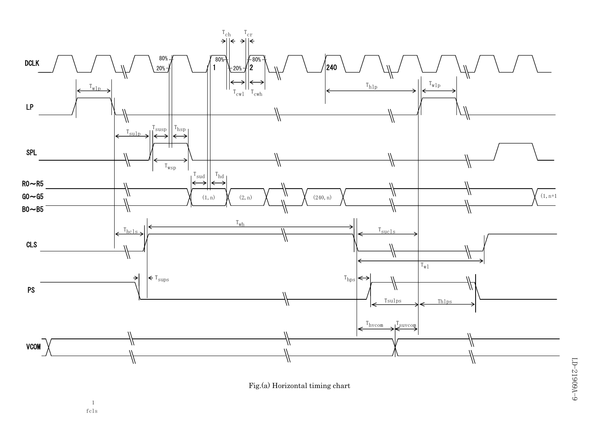



|<br>|<br>|<br>|<br>|<br>|<br>|<br>|<br><br>|

fcls 1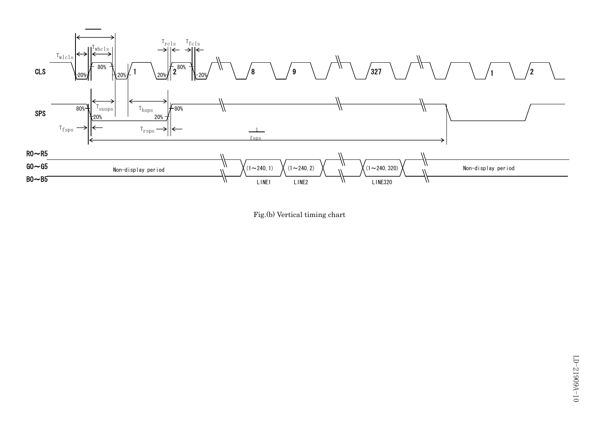

Fig.(b) Vertical timing chart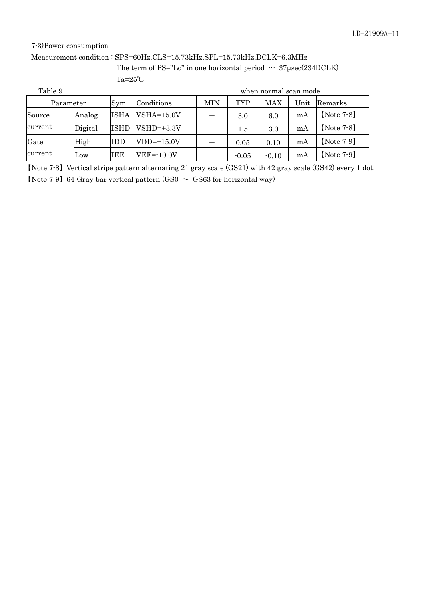### 7-3)Power consumption

#### Measurement condition : SPS=60Hz,CLS=15.73kHz,SPL=15.73kHz,DCLK=6.3MHz

The term of PS="Lo" in one horizontal period  $\cdots$  37µsec(234DCLK) Ta=25℃

| Table 9   |         |             |                |     |            | when normal scan mode |      |              |
|-----------|---------|-------------|----------------|-----|------------|-----------------------|------|--------------|
| Parameter |         | Sym         | Conditions     | MIN | <b>TYP</b> | MAX                   | Unit | Remarks      |
| Source    | Analog  | <b>ISHA</b> | $VSHA=+5.0V$   |     | 3.0        | 6.0                   | mA   | $[Note 7-8]$ |
| current   | Digital | <b>ISHD</b> | $VSHD=+3.3V$   |     | $1.5\,$    | 3.0                   | mA   | $[Note 7-8]$ |
| Gate      | High    | IDD         | $VDD=+15.0V$   |     | 0.05       | 0.10                  | mA   | $[Note 7-9]$ |
| current   | Low     | IEE         | $VEE = -10.0V$ |     | $-0.05$    | $-0.10$               | mA   | $[Note 7-9]$ |

【Note 7-8】Vertical stripe pattern alternating 21 gray scale (GS21) with 42 gray scale (GS42) every 1 dot. [Note 7-9] 64-Gray-bar vertical pattern (GS0  $\sim$  GS63 for horizontal way)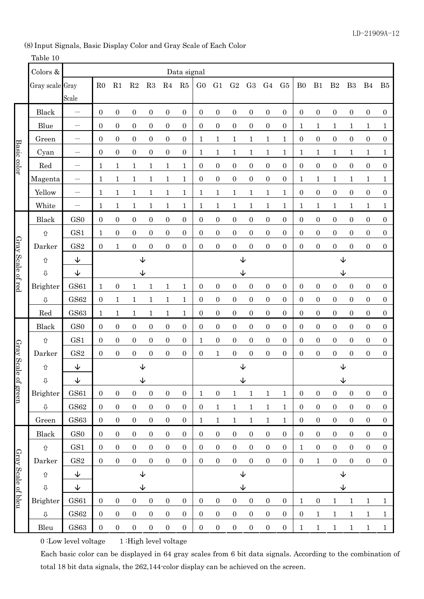(8) Input Signals, Basic Display Color and Gray Scale of Each Color

## Table 10

|                    | Colors &                  |                                     |                  |                  |                  |                  |                  | Data signal      |                  |                  |                  |                  |                  |                  |                  |                  |                  |                  |                  |                  |
|--------------------|---------------------------|-------------------------------------|------------------|------------------|------------------|------------------|------------------|------------------|------------------|------------------|------------------|------------------|------------------|------------------|------------------|------------------|------------------|------------------|------------------|------------------|
|                    | Gray scale Gray           |                                     | R <sub>0</sub>   | R1               | $\mathbf{R}2$    | R3               | R4               | R5               | G <sub>0</sub>   | G1               | G <sub>2</sub>   | G <sub>3</sub>   | G <sub>4</sub>   | G <sub>5</sub>   | B <sub>0</sub>   | B1               | B <sub>2</sub>   | B <sub>3</sub>   | B <sub>4</sub>   | B <sub>5</sub>   |
|                    |                           | Scale                               |                  |                  |                  |                  |                  |                  |                  |                  |                  |                  |                  |                  |                  |                  |                  |                  |                  |                  |
|                    | Black                     |                                     | $\boldsymbol{0}$ | $\boldsymbol{0}$ | $\boldsymbol{0}$ | $\boldsymbol{0}$ | $\boldsymbol{0}$ | $\boldsymbol{0}$ | $\boldsymbol{0}$ | $\boldsymbol{0}$ | $\boldsymbol{0}$ | $\boldsymbol{0}$ | $\boldsymbol{0}$ | $\boldsymbol{0}$ | $\boldsymbol{0}$ | $\boldsymbol{0}$ | $\boldsymbol{0}$ | $\boldsymbol{0}$ | $\boldsymbol{0}$ | $\boldsymbol{0}$ |
|                    | Blue                      |                                     | $\mathbf{0}$     | 0                | $\boldsymbol{0}$ | $\boldsymbol{0}$ | $\boldsymbol{0}$ | $\boldsymbol{0}$ | $\boldsymbol{0}$ | $\boldsymbol{0}$ | $\boldsymbol{0}$ | $\boldsymbol{0}$ | $\mathbf{0}$     | $\boldsymbol{0}$ | 1                | 1                | $\mathbf 1$      | 1                | 1                | 1                |
|                    | Green                     | $\overline{\phantom{0}}$            | $\boldsymbol{0}$ | $\boldsymbol{0}$ | $\boldsymbol{0}$ | $\boldsymbol{0}$ | $\boldsymbol{0}$ | $\boldsymbol{0}$ | $\mathbf{1}$     | $\mathbf 1$      | $\mathbf 1$      | 1                | $\mathbf 1$      | $\mathbf 1$      | $\boldsymbol{0}$ | $\boldsymbol{0}$ | $\boldsymbol{0}$ | $\boldsymbol{0}$ | $\boldsymbol{0}$ | $\boldsymbol{0}$ |
|                    | Cyan                      | $\overline{\phantom{0}}$            | $\mathbf{0}$     | $\boldsymbol{0}$ | $\boldsymbol{0}$ | $\boldsymbol{0}$ | $\boldsymbol{0}$ | $\boldsymbol{0}$ | $\mathbf{1}$     | 1                | $\mathbf{1}$     | $\mathbf 1$      | 1                | $\mathbf 1$      | $\mathbf 1$      | 1                | $\mathbf 1$      | $\mathbf 1$      | 1                | $\mathbf{1}$     |
| Basic color        | Red                       | $\overline{\phantom{0}}$            | $\mathbf 1$      | $\mathbf 1$      | $\mathbf{1}$     | $\mathbf 1$      | $\mathbf{1}$     | $\mathbf{1}$     | $\boldsymbol{0}$ | $\boldsymbol{0}$ | $\boldsymbol{0}$ | $\boldsymbol{0}$ | $\boldsymbol{0}$ | $\boldsymbol{0}$ | $\boldsymbol{0}$ | $\boldsymbol{0}$ | $\boldsymbol{0}$ | $\boldsymbol{0}$ | $\boldsymbol{0}$ | $\boldsymbol{0}$ |
|                    | Magenta                   |                                     | 1                | $\mathbf 1$      | 1                | $\mathbf{1}$     | $\mathbf{1}$     | $\mathbf{1}$     | $\boldsymbol{0}$ | $\boldsymbol{0}$ | $\boldsymbol{0}$ | $\boldsymbol{0}$ | $\boldsymbol{0}$ | $\boldsymbol{0}$ | 1                | $\mathbf{1}$     | $\mathbf{1}$     | $\mathbf 1$      | $\mathbf 1$      | $\mathbf{1}$     |
|                    | Yellow                    |                                     | $\mathbf 1$      | $\mathbf 1$      | 1                | $\mathbf{1}$     | $\mathbf{1}$     | $\mathbf{1}$     | $\mathbf{1}$     | $\mathbf{1}$     | $\mathbf{1}$     | $\mathbf 1$      | $\mathbf{1}$     | $\mathbf{1}$     | $\boldsymbol{0}$ | $\boldsymbol{0}$ | $\boldsymbol{0}$ | $\boldsymbol{0}$ | $\boldsymbol{0}$ | $\boldsymbol{0}$ |
|                    | White                     | $\overline{\phantom{0}}$            | $\mathbf 1$      | $\mathbf 1$      | 1                | $\mathbf{1}$     | $\mathbf 1$      | $\mathbf 1$      | $\mathbf{1}$     | $\mathbf{1}$     | $\mathbf{1}$     | $\mathbf{1}$     | $\mathbf{1}$     | $\mathbf{1}$     | $\mathbf{1}$     | 1                | $\mathbf{1}$     | $\mathbf{1}$     | 1                | $\mathbf{1}$     |
|                    | Black                     | GS <sub>0</sub>                     | $\boldsymbol{0}$ | 0                | $\boldsymbol{0}$ | $\boldsymbol{0}$ | $\boldsymbol{0}$ | $\boldsymbol{0}$ | $\boldsymbol{0}$ | $\boldsymbol{0}$ | $\boldsymbol{0}$ | $\boldsymbol{0}$ | $\boldsymbol{0}$ | $\boldsymbol{0}$ | 0                | $\boldsymbol{0}$ | $\boldsymbol{0}$ | $\boldsymbol{0}$ | 0                | $\boldsymbol{0}$ |
|                    | 仚                         | GS1                                 | $\mathbf 1$      | $\boldsymbol{0}$ | $\boldsymbol{0}$ | $\boldsymbol{0}$ | $\boldsymbol{0}$ | $\boldsymbol{0}$ | $\boldsymbol{0}$ | $\boldsymbol{0}$ | $\boldsymbol{0}$ | $\boldsymbol{0}$ | $\boldsymbol{0}$ | $\boldsymbol{0}$ | $\boldsymbol{0}$ | $\boldsymbol{0}$ | $\boldsymbol{0}$ | $\boldsymbol{0}$ | $\boldsymbol{0}$ | $\mathbf{0}$     |
| Gray Scale of red  | Darker                    | GS <sub>2</sub>                     | $\mathbf{0}$     | 1                | $\boldsymbol{0}$ | $\boldsymbol{0}$ | $\boldsymbol{0}$ | $\boldsymbol{0}$ | $\boldsymbol{0}$ | $\boldsymbol{0}$ | $\boldsymbol{0}$ | $\boldsymbol{0}$ | $\boldsymbol{0}$ | $\boldsymbol{0}$ | $\overline{0}$   | $\boldsymbol{0}$ | $\boldsymbol{0}$ | $\boldsymbol{0}$ | $\overline{0}$   | $\mathbf{0}$     |
|                    | ⇧                         | $\downarrow$                        |                  |                  | $\downarrow$     |                  |                  |                  |                  |                  | $\downarrow$     |                  |                  |                  |                  |                  | $\downarrow$     |                  |                  |                  |
|                    | $\rm \Phi$                | ↓                                   |                  |                  | ↓                |                  |                  |                  |                  |                  | ↓                |                  |                  |                  |                  |                  | ↓                |                  |                  |                  |
|                    | Brighter                  | <b>GS61</b>                         | 1                | $\boldsymbol{0}$ | 1                | $\mathbf{1}$     | $\mathbf{1}$     | $\mathbf{1}$     | $\boldsymbol{0}$ | $\boldsymbol{0}$ | $\boldsymbol{0}$ | $\boldsymbol{0}$ | $\boldsymbol{0}$ | $\boldsymbol{0}$ | $\boldsymbol{0}$ | $\boldsymbol{0}$ | $\boldsymbol{0}$ | $\boldsymbol{0}$ | $\boldsymbol{0}$ | $\boldsymbol{0}$ |
|                    | ⇩                         | $\operatorname{GS62}$               | $\boldsymbol{0}$ | $\mathbf 1$      | 1                | $\mathbf{1}$     | $\mathbf{1}$     | $\mathbf{1}$     | $\boldsymbol{0}$ | $\boldsymbol{0}$ | $\boldsymbol{0}$ | $\boldsymbol{0}$ | $\boldsymbol{0}$ | $\boldsymbol{0}$ | $\boldsymbol{0}$ | $\boldsymbol{0}$ | $\boldsymbol{0}$ | $\boldsymbol{0}$ | $\boldsymbol{0}$ | $\boldsymbol{0}$ |
|                    | Red                       | <b>GS63</b>                         | $\mathbf{1}$     | $\mathbf{1}$     | 1                | $\mathbf{1}$     | $\mathbf{1}$     | $\mathbf{1}$     | $\boldsymbol{0}$ | $\boldsymbol{0}$ | $\boldsymbol{0}$ | $\boldsymbol{0}$ | $\boldsymbol{0}$ | $\boldsymbol{0}$ | $\boldsymbol{0}$ | $\boldsymbol{0}$ | $\boldsymbol{0}$ | $\boldsymbol{0}$ | $\boldsymbol{0}$ | $\boldsymbol{0}$ |
|                    | Black                     | GS <sub>0</sub>                     | $\mathbf{0}$     | $\boldsymbol{0}$ | $\boldsymbol{0}$ | $\boldsymbol{0}$ | $\boldsymbol{0}$ | $\boldsymbol{0}$ | $\boldsymbol{0}$ | $\boldsymbol{0}$ | $\boldsymbol{0}$ | $\boldsymbol{0}$ | $\boldsymbol{0}$ | $\boldsymbol{0}$ | $\boldsymbol{0}$ | $\overline{0}$   | $\boldsymbol{0}$ | $\boldsymbol{0}$ | $\boldsymbol{0}$ | $\mathbf{0}$     |
|                    | ⇧                         | GS1                                 | $\boldsymbol{0}$ | $\boldsymbol{0}$ | $\overline{0}$   | $\boldsymbol{0}$ | $\boldsymbol{0}$ | $\overline{0}$   | $\mathbf{1}$     | $\boldsymbol{0}$ | $\boldsymbol{0}$ | $\boldsymbol{0}$ | $\boldsymbol{0}$ | $\boldsymbol{0}$ | $\boldsymbol{0}$ | $\overline{0}$   | $\boldsymbol{0}$ | $\boldsymbol{0}$ | $\boldsymbol{0}$ | $\mathbf{0}$     |
|                    | Darker                    | GS <sub>2</sub>                     | $\boldsymbol{0}$ | $\boldsymbol{0}$ | $\boldsymbol{0}$ | $\boldsymbol{0}$ | $\boldsymbol{0}$ | $\boldsymbol{0}$ | $\boldsymbol{0}$ | $\mathbf{1}$     | $\boldsymbol{0}$ | $\boldsymbol{0}$ | $\boldsymbol{0}$ | $\boldsymbol{0}$ | $\boldsymbol{0}$ | $\boldsymbol{0}$ | $\boldsymbol{0}$ | $\boldsymbol{0}$ | $\boldsymbol{0}$ | $\boldsymbol{0}$ |
| Gray Scale         | 仚                         | $\downarrow$                        |                  |                  | $\downarrow$     |                  |                  |                  |                  |                  | $\downarrow$     |                  |                  |                  |                  |                  | ↓                |                  |                  |                  |
|                    | $\stackrel{\frown}{\vee}$ | $\overline{\mathbf{\mathsf{\psi}}}$ |                  |                  | ッ                |                  |                  |                  |                  |                  | ッ                |                  |                  |                  |                  |                  | ッ                |                  |                  |                  |
| of green           | Brighter                  | <b>GS61</b>                         | $\mathbf{0}$     | $\boldsymbol{0}$ | $\mathbf{0}$     | $\boldsymbol{0}$ | $\boldsymbol{0}$ | $\boldsymbol{0}$ | $\mathbf{1}$     | $\boldsymbol{0}$ | $\mathbf{1}$     | $\mathbf{1}$     | $\mathbf{1}$     | $\mathbf{1}$     | $\boldsymbol{0}$ | $\boldsymbol{0}$ | $\boldsymbol{0}$ | $\boldsymbol{0}$ | $\boldsymbol{0}$ | $\boldsymbol{0}$ |
|                    | ⇩                         | $\operatorname{GS62}$               | $\mathbf{0}$     | $\boldsymbol{0}$ | $\boldsymbol{0}$ | $\boldsymbol{0}$ | $\boldsymbol{0}$ | $\boldsymbol{0}$ | $\boldsymbol{0}$ | $\mathbf{1}$     | $\mathbf{1}$     | $\mathbf{1}$     | $\mathbf{1}$     | $\mathbf{1}$     | $\boldsymbol{0}$ | $\overline{0}$   | $\boldsymbol{0}$ | $\boldsymbol{0}$ | $\boldsymbol{0}$ | $\boldsymbol{0}$ |
|                    | Green                     | <b>GS63</b>                         | $\boldsymbol{0}$ | $\overline{0}$   | $\mathbf{0}$     | $\boldsymbol{0}$ | $\boldsymbol{0}$ | $\overline{0}$   | $\mathbf{1}$     | $\mathbf{1}$     | $\mathbf{1}$     | $\mathbf{1}$     | $\mathbf{1}$     | $\mathbf{1}$     | $\boldsymbol{0}$ | $\overline{0}$   | $\boldsymbol{0}$ | $\boldsymbol{0}$ | $\mathbf{0}$     | $\boldsymbol{0}$ |
|                    | Black                     | GS0                                 | $\mathbf{0}$     | $\overline{0}$   | $\mathbf{0}$     | $\boldsymbol{0}$ | $\boldsymbol{0}$ | $\overline{0}$   | $\boldsymbol{0}$ | $\boldsymbol{0}$ | $\boldsymbol{0}$ | $\boldsymbol{0}$ | $\boldsymbol{0}$ | $\boldsymbol{0}$ | $\boldsymbol{0}$ | $\overline{0}$   | $\boldsymbol{0}$ | $\boldsymbol{0}$ | $\boldsymbol{0}$ | $\mathbf{0}$     |
|                    | $\Upsilon$                | GS1                                 | $\boldsymbol{0}$ | $\boldsymbol{0}$ | $\boldsymbol{0}$ | $\boldsymbol{0}$ | $\boldsymbol{0}$ | $\boldsymbol{0}$ | $\boldsymbol{0}$ | $\boldsymbol{0}$ | $\boldsymbol{0}$ | $\boldsymbol{0}$ | $\boldsymbol{0}$ | $\boldsymbol{0}$ | $\mathbf{1}$     | $\overline{0}$   | $\boldsymbol{0}$ | $\boldsymbol{0}$ | $\boldsymbol{0}$ | $\mathbf{0}$     |
|                    | Darker                    | GS2                                 | $\boldsymbol{0}$ | $\boldsymbol{0}$ | $\boldsymbol{0}$ | $\boldsymbol{0}$ | $\boldsymbol{0}$ | $\mathbf{0}$     | $\boldsymbol{0}$ | $\boldsymbol{0}$ | $\boldsymbol{0}$ | $\boldsymbol{0}$ | $\boldsymbol{0}$ | $\boldsymbol{0}$ | $\boldsymbol{0}$ | $\mathbf{1}$     | $\boldsymbol{0}$ | $\boldsymbol{0}$ | $\boldsymbol{0}$ | $\boldsymbol{0}$ |
|                    | $\hat{\mathbb{U}}$        | $\downarrow$                        |                  |                  | $\downarrow$     |                  |                  |                  | $\downarrow$     |                  |                  |                  |                  |                  | $\downarrow$     |                  |                  |                  |                  |                  |
| Gray Scale of bleu | ⇩                         | $\downarrow$                        |                  |                  | $\downarrow$     |                  |                  |                  | $\downarrow$     |                  |                  |                  | ↓                |                  |                  |                  |                  |                  |                  |                  |
|                    | Brighter                  | GS61                                | $\mathbf{0}$     | $\boldsymbol{0}$ | $\boldsymbol{0}$ | $\boldsymbol{0}$ | $\boldsymbol{0}$ | $\boldsymbol{0}$ | $\boldsymbol{0}$ | $\boldsymbol{0}$ | $\boldsymbol{0}$ | $\boldsymbol{0}$ | $\boldsymbol{0}$ | $\boldsymbol{0}$ | $\mathbf 1$      | $\overline{0}$   | $\mathbf{1}$     | $\mathbf{1}$     | $\mathbf 1$      | $\mathbf{1}$     |
|                    | ⇩                         | <b>GS62</b>                         | $\boldsymbol{0}$ | $\boldsymbol{0}$ | $\overline{0}$   | $\boldsymbol{0}$ | $\boldsymbol{0}$ | $\mathbf{0}$     | $\boldsymbol{0}$ | $\boldsymbol{0}$ | $\boldsymbol{0}$ | $\boldsymbol{0}$ | $\boldsymbol{0}$ | $\boldsymbol{0}$ | $\boldsymbol{0}$ | 1                | $\mathbf{1}$     | $\mathbf{1}$     | $\mathbf{1}$     | $\mathbf{1}$     |
|                    | Bleu                      | <b>GS63</b>                         | $\boldsymbol{0}$ | $\boldsymbol{0}$ | $\boldsymbol{0}$ | $\boldsymbol{0}$ | $\boldsymbol{0}$ | $\boldsymbol{0}$ | $\boldsymbol{0}$ | $\boldsymbol{0}$ | $\boldsymbol{0}$ | $\boldsymbol{0}$ | $\boldsymbol{0}$ | $\boldsymbol{0}$ | $\mathbf{1}$     | $\mathbf{1}$     | $\mathbf{1}$     | $\mathbf{1}$     | $\mathbf{1}$     | $\mathbf{1}$     |

0 :Low level voltage 1 :High level voltage

Each basic color can be displayed in 64 gray scales from 6 bit data signals. According to the combination of total 18 bit data signals, the 262,144-color display can be achieved on the screen.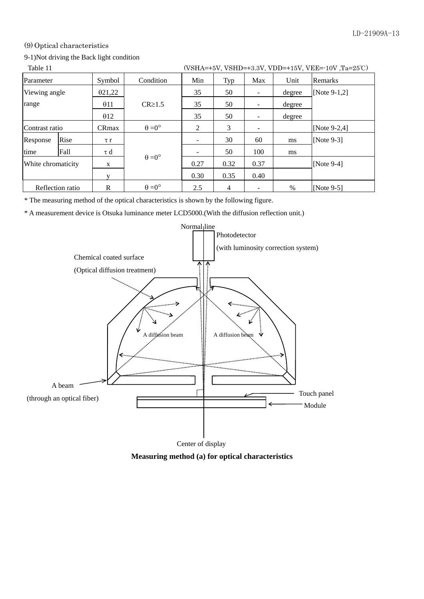#### (9) Optical characteristics

### 9-1)Not driving the Back light condition

| Table 11 |  |  |  | (VSHA=+5V, VSHD=+3.3V, VDD=+15V, VEE=-10V, Ta=25°C) |  |
|----------|--|--|--|-----------------------------------------------------|--|
|          |  |  |  |                                                     |  |

|                    | TUUIV II<br>$(1)$ $(1)$ $(1)$ $(2)$ $(3)$ $(4)$ $(5)$ $(6)$ $(7)$ $(8)$ $(8)$ $(1)$ $(1)$ $(1)$ $(1)$ $(1)$ $(1)$ $(1)$ $(1)$ $(1)$ $(1)$ $(1)$ $(1)$ $(1)$ $(1)$ $(1)$ $(1)$ $(1)$ $(1)$ $(1)$ $(1)$ $(1)$ $(1)$ $(1)$ $(1)$ $(1)$ $(1)$ |                |                      |      |      |                              |        |                |
|--------------------|-------------------------------------------------------------------------------------------------------------------------------------------------------------------------------------------------------------------------------------------|----------------|----------------------|------|------|------------------------------|--------|----------------|
| Parameter          |                                                                                                                                                                                                                                           | Symbol         | Condition            | Min  | Typ  | Max                          | Unit   | Remarks        |
| Viewing angle      |                                                                                                                                                                                                                                           | $\theta$ 21,22 |                      | 35   | 50   |                              | degree | [Note 9-1,2]   |
| range              |                                                                                                                                                                                                                                           | $\theta$ 11    | $CR \ge 1.5$         | 35   | 50   | -                            | degree |                |
|                    |                                                                                                                                                                                                                                           | $\theta$ 12    |                      | 35   | 50   | $\qquad \qquad \blacksquare$ | degree |                |
| Contrast ratio     |                                                                                                                                                                                                                                           | <b>CRmax</b>   | $\theta = 0^{\circ}$ | 2    | 3    | -                            |        | $[Note 9-2,4]$ |
| Response           | Rise                                                                                                                                                                                                                                      | τr             |                      |      | 30   | 60                           | ms     | [Note $9-3$ ]  |
| time               | Fall                                                                                                                                                                                                                                      | τd             |                      |      | 50   | 100                          | ms     |                |
| White chromaticity |                                                                                                                                                                                                                                           | X              | $\theta = 0^{\circ}$ | 0.27 | 0.32 | 0.37                         |        | [Note $9-4$ ]  |
|                    |                                                                                                                                                                                                                                           |                |                      | 0.30 | 0.35 | 0.40                         |        |                |
| Reflection ratio   |                                                                                                                                                                                                                                           | R              | $\theta = 0^{\circ}$ | 2.5  | 4    |                              | $\%$   | [Note $9-5$ ]  |

\* The measuring method of the optical characteristics is shown by the following figure.

\* A measurement device is Otsuka luminance meter LCD5000.(With the diffusion reflection unit.)



**Measuring method (a) for optical characteristics**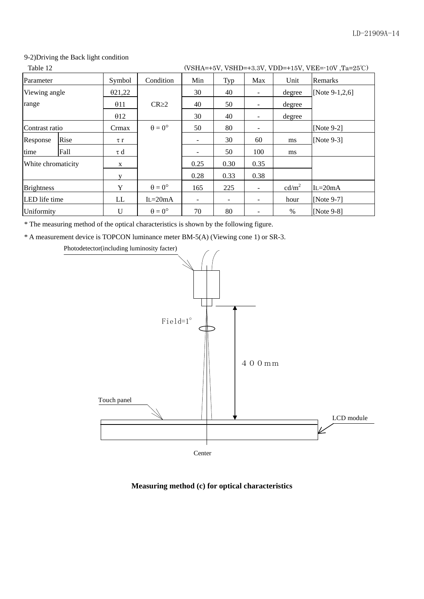#### 9-2)Driving the Back light condition

| Table 12<br>(VSHA=+5V, VSHD=+3.3V, VDD=+15V, VEE=-10V, Ta=25°C) |      |             |                      |      |                          |                              |                   |                   |
|-----------------------------------------------------------------|------|-------------|----------------------|------|--------------------------|------------------------------|-------------------|-------------------|
| Parameter                                                       |      | Symbol      | Condition            | Min  | Typ                      | Max                          | Unit              | <b>Remarks</b>    |
| Viewing angle                                                   |      | 021,22      |                      | 30   | 40                       | -                            | degree            | [Note $9-1,2,6$ ] |
| range                                                           |      | $\theta$ 11 | $CR \geq 2$          | 40   | 50                       | -                            | degree            |                   |
|                                                                 |      | $\theta$ 12 |                      | 30   | 40                       |                              | degree            |                   |
| Contrast ratio                                                  |      | Crmax       | $\theta = 0^{\circ}$ | 50   | 80                       | $\qquad \qquad \blacksquare$ |                   | [Note $9-2$ ]     |
| Response                                                        | Rise | $\tau r$    |                      |      | 30                       | 60                           | ms                | [Note $9-3$ ]     |
| time                                                            | Fall | τd          |                      |      | 50                       | 100                          | ms                |                   |
| White chromaticity                                              |      | X           |                      | 0.25 | 0.30                     | 0.35                         |                   |                   |
|                                                                 |      |             |                      | 0.28 | 0.33                     | 0.38                         |                   |                   |
| <b>Brightness</b>                                               |      | Y           | $\theta = 0^{\circ}$ | 165  | 225                      | -                            | cd/m <sup>2</sup> | $IL = 20mA$       |
| LED life time                                                   |      | LL          | $L=20mA$             | ۰    | $\overline{\phantom{a}}$ | -                            | hour              | [Note $9-7$ ]     |
| Uniformity                                                      |      | $\mathbf U$ | $\theta = 0^{\circ}$ | 70   | 80                       |                              | $\%$              | [Note $9-8$ ]     |

\* The measuring method of the optical characteristics is shown by the following figure.

\* A measurement device is TOPCON luminance meter BM-5(A) (Viewing cone 1) or SR-3.



#### **Measuring method (c) for optical characteristics**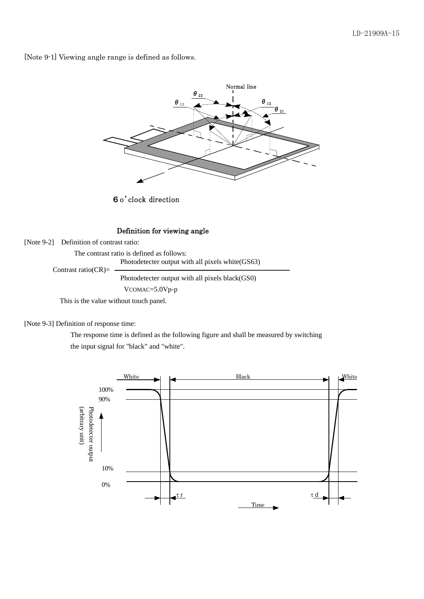[Note 9-1] Viewing angle range is defined as follows.



6o'clock direction

#### Definition for viewing angle

[Note 9-2] Definition of contrast ratio:

The contrast ratio is defined as follows:

 Photodetecter output with all pixels white(GS63) Contrast ratio( $CR$ )=

Photodetecter output with all pixels black(GS0)

VCOMAC=5.0Vp-p

This is the value without touch panel.

[Note 9-3] Definition of response time:

 The response time is defined as the following figure and shall be measured by switching the input signal for "black" and "white".

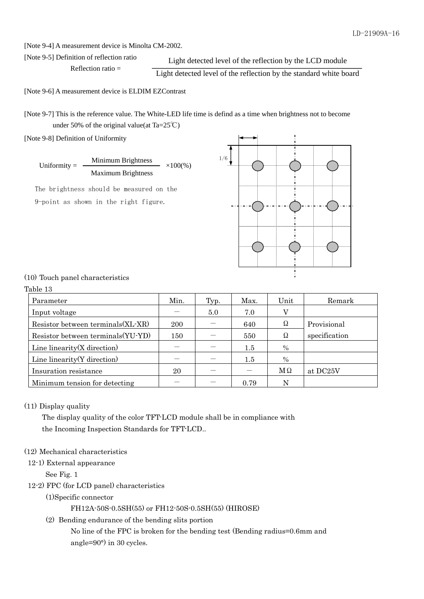[Note 9-4] A measurement device is Minolta CM-2002.

Reflection ratio  $=$ 

[Note 9-5] Definition of reflection ratio

Light detected level of the reflection by the LCD module

Light detected level of the reflection by the standard white board

[Note 9-6] A measurement device is ELDIM EZContrast

[Note 9-7] This is the reference value. The White-LED life time is defind as a time when brightness not to become under 50% of the original value(at Ta= $25^{\circ}$ C)

[Note 9-8] Definition of Uniformity

Minimum Brightness Maximum Brightness Uniformity =  $\frac{1}{\sqrt{1-\frac{1}{2}}}\sqrt{100\%}$ 

 The brightness should be measured on the 9-point as shown in the right figure.



#### (10) Touch panel characteristics

| Table |  |
|-------|--|
|-------|--|

| Parameter                          | Min. | Typ. | Max. | Unit | Remark        |
|------------------------------------|------|------|------|------|---------------|
| Input voltage                      |      | 5.0  | 7.0  |      |               |
| Resistor between terminals (XL-XR) | 200  |      | 640  | Ω    | Provisional   |
| Resistor between terminals(YU-YD)  | 150  |      | 550  | Ω    | specification |
| Line linearity $(X$ direction)     |      |      | 1.5  | $\%$ |               |
| Line linearity $(Y$ direction      |      |      | 1.5  | $\%$ |               |
| Insuration resistance              | 20   |      |      | МΩ   | at DC25V      |
| Minimum tension for detecting      |      |      | 0.79 | N    |               |

#### (11) Display quality

 The display quality of the color TFT-LCD module shall be in compliance with the Incoming Inspection Standards for TFT-LCD..

#### (12) Mechanical characteristics

#### 12-1) External appearance

See Fig. 1

12-2) FPC (for LCD panel) characteristics

#### (1)Specific connector

### FH12A-50S-0.5SH(55) or FH12-50S-0.5SH(55) (HIROSE)

(2) Bending endurance of the bending slits portion

 No line of the FPC is broken for the bending test (Bending radius=0.6mm and angle=90°) in 30 cycles.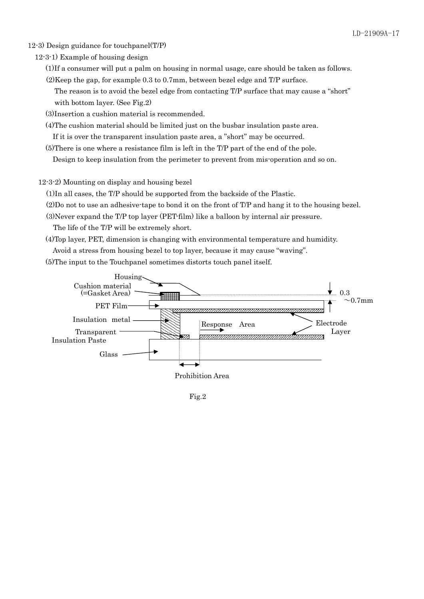- 12-3) Design guidance for touchpanel(T/P)
	- 12-3-1) Example of housing design
		- (1)If a consumer will put a palm on housing in normal usage, care should be taken as follows.
		- (2)Keep the gap, for example 0.3 to 0.7mm, between bezel edge and T/P surface.

The reason is to avoid the bezel edge from contacting T/P surface that may cause a "short" with bottom layer. (See Fig.2)

(3)Insertion a cushion material is recommended.

 (4)The cushion material should be limited just on the busbar insulation paste area. If it is over the transparent insulation paste area, a "short" may be occurred.

(5)There is one where a resistance film is left in the T/P part of the end of the pole.

Design to keep insulation from the perimeter to prevent from mis-operation and so on.

12-3-2) Mounting on display and housing bezel

(1)In all cases, the T/P should be supported from the backside of the Plastic.

(2)Do not to use an adhesive-tape to bond it on the front of T/P and hang it to the housing bezel.

(3)Never expand the T/P top layer (PET-film) like a balloon by internal air pressure.

The life of the T/P will be extremely short.

(4)Top layer, PET, dimension is changing with environmental temperature and humidity.

Avoid a stress from housing bezel to top layer, because it may cause "waving".

(5)The input to the Touchpanel sometimes distorts touch panel itself.



Fig.2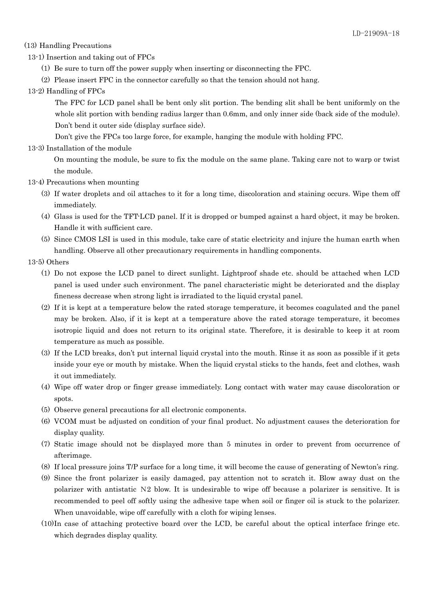#### (13) Handling Precautions

- 13-1) Insertion and taking out of FPCs
	- (1) Be sure to turn off the power supply when inserting or disconnecting the FPC.
	- (2) Please insert FPC in the connector carefully so that the tension should not hang.
- 13-2) Handling of FPCs

The FPC for LCD panel shall be bent only slit portion. The bending slit shall be bent uniformly on the whole slit portion with bending radius larger than 0.6mm, and only inner side (back side of the module). Don't bend it outer side (display surface side).

Don't give the FPCs too large force, for example, hanging the module with holding FPC.

13-3) Installation of the module

On mounting the module, be sure to fix the module on the same plane. Taking care not to warp or twist the module.

- 13-4) Precautions when mounting
	- (3) If water droplets and oil attaches to it for a long time, discoloration and staining occurs. Wipe them off immediately.
	- (4) Glass is used for the TFT-LCD panel. If it is dropped or bumped against a hard object, it may be broken. Handle it with sufficient care.
	- (5) Since CMOS LSI is used in this module, take care of static electricity and injure the human earth when handling. Observe all other precautionary requirements in handling components.

## 13-5) Others

- (1) Do not expose the LCD panel to direct sunlight. Lightproof shade etc. should be attached when LCD panel is used under such environment. The panel characteristic might be deteriorated and the display fineness decrease when strong light is irradiated to the liquid crystal panel.
- (2) If it is kept at a temperature below the rated storage temperature, it becomes coagulated and the panel may be broken. Also, if it is kept at a temperature above the rated storage temperature, it becomes isotropic liquid and does not return to its original state. Therefore, it is desirable to keep it at room temperature as much as possible.
- (3) If the LCD breaks, don't put internal liquid crystal into the mouth. Rinse it as soon as possible if it gets inside your eye or mouth by mistake. When the liquid crystal sticks to the hands, feet and clothes, wash it out immediately.
- (4) Wipe off water drop or finger grease immediately. Long contact with water may cause discoloration or spots.
- (5) Observe general precautions for all electronic components.
- (6) VCOM must be adjusted on condition of your final product. No adjustment causes the deterioration for display quality.
- (7) Static image should not be displayed more than 5 minutes in order to prevent from occurrence of afterimage.
- (8) If local pressure joins T/P surface for a long time, it will become the cause of generating of Newton's ring.
- (9) Since the front polarizer is easily damaged, pay attention not to scratch it. Blow away dust on the polarizer with antistatic N2 blow. It is undesirable to wipe off because a polarizer is sensitive. It is recommended to peel off softly using the adhesive tape when soil or finger oil is stuck to the polarizer. When unavoidable, wipe off carefully with a cloth for wiping lenses.
- (10)In case of attaching protective board over the LCD, be careful about the optical interface fringe etc. which degrades display quality.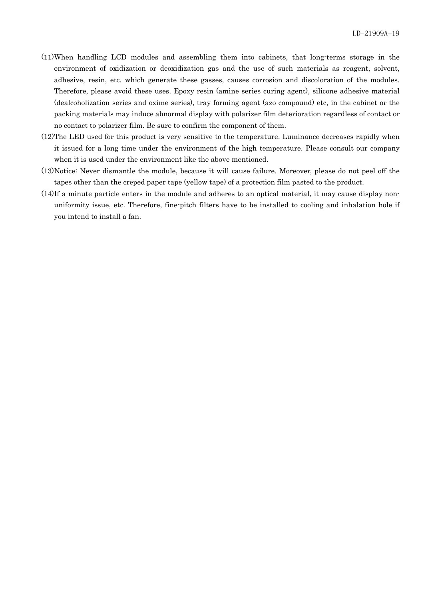- (11)When handling LCD modules and assembling them into cabinets, that long-terms storage in the environment of oxidization or deoxidization gas and the use of such materials as reagent, solvent, adhesive, resin, etc. which generate these gasses, causes corrosion and discoloration of the modules. Therefore, please avoid these uses. Epoxy resin (amine series curing agent), silicone adhesive material (dealcoholization series and oxime series), tray forming agent (azo compound) etc, in the cabinet or the packing materials may induce abnormal display with polarizer film deterioration regardless of contact or no contact to polarizer film. Be sure to confirm the component of them.
- (12)The LED used for this product is very sensitive to the temperature. Luminance decreases rapidly when it issued for a long time under the environment of the high temperature. Please consult our company when it is used under the environment like the above mentioned.
- (13)Notice: Never dismantle the module, because it will cause failure. Moreover, please do not peel off the tapes other than the creped paper tape (yellow tape) of a protection film pasted to the product.
- (14)If a minute particle enters in the module and adheres to an optical material, it may cause display nonuniformity issue, etc. Therefore, fine-pitch filters have to be installed to cooling and inhalation hole if you intend to install a fan.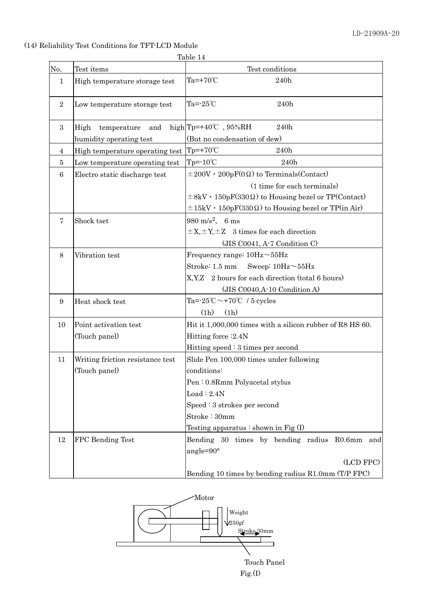# (14) Reliability Test Conditions for TFT-LCD Module

Table 14

| No.              | Test items                       | Test conditions                                                   |
|------------------|----------------------------------|-------------------------------------------------------------------|
| $\mathbf 1$      | High temperature storage test    | Ta= $+70^{\circ}$ C<br>240h                                       |
| $\overline{2}$   | Low temperature storage test     | Ta= $-25^{\circ}$ C<br>240h                                       |
| $\boldsymbol{3}$ | High<br>temperature<br>and       | high $Tp=+40^{\circ}C$ , 95%RH<br>240h                            |
|                  | humidity operating test          | (But no condensation of dew)                                      |
| 4                | High temperature operating test  | $Tp = +70^{\circ}C$<br>240h                                       |
| 5                | Low temperature operating test   | $Tp = -10^{\circ}C$<br>240h                                       |
| 6                | Electro static discharge test    | $\pm 200V \cdot 200pF(0 \Omega)$ to Terminals (Contact)           |
|                  |                                  | (1 time for each terminals)                                       |
|                  |                                  | $\pm 8$ kV · 150pF(330 $\Omega$ ) to Housing bezel or TP(Contact) |
|                  |                                  | $\pm 15$ kV · 150pF(330 $\Omega$ ) to Housing bezel or TP(in Air) |
| 7                | Shock tset                       | 980 m/s <sup>2</sup> , 6 ms                                       |
|                  |                                  | $\pm X, \pm Y, \pm Z$ 3 times for each direction                  |
|                  |                                  | $(JIS CO041, A-7 Condition C)$                                    |
| 8                | Vibration test                   | Frequency range: $10Hz \sim 55Hz$                                 |
|                  |                                  | Stroke: 1.5 mm<br>Sweep: $10Hz \sim 55Hz$                         |
|                  |                                  | X, Y, Z 2 hours for each direction (total 6 hours)                |
|                  |                                  | (JIS C0040,A-10 Condition A)                                      |
| 9                | Heat shock test                  | Ta= $-25^{\circ}\text{C} \sim +70^{\circ}\text{C}$ / 5 cycles     |
|                  |                                  | (1h)<br>(1h)                                                      |
| 10               | Point activation test            | Hit it 1,000,000 times with a silicon rubber of R8 HS 60.         |
|                  | (Touch panel)                    | Hitting force : 2.4N                                              |
|                  |                                  | Hitting speed $: 3$ times per second                              |
| 11               | Writing friction resistance test | Slide Pen 100,000 times under following                           |
|                  | (Touch panel)                    | conditions:                                                       |
|                  |                                  | Pen: 0.8Rmm Polyacetal stylus                                     |
|                  |                                  | Load : 2.4N                                                       |
|                  |                                  | $Speed:3$ strokes per second                                      |
|                  |                                  | Stroke: 30mm                                                      |
|                  |                                  | Testing apparatus $:$ shown in Fig $(I)$                          |
| 12               | <b>FPC</b> Bending Test          | Bending 30 times by bending radius R0.6mm<br>and                  |
|                  |                                  | angle= $90^\circ$                                                 |
|                  |                                  | (LCD FPC)                                                         |
|                  |                                  | Bending 10 times by bending radius R1.0mm (T/P FPC)               |

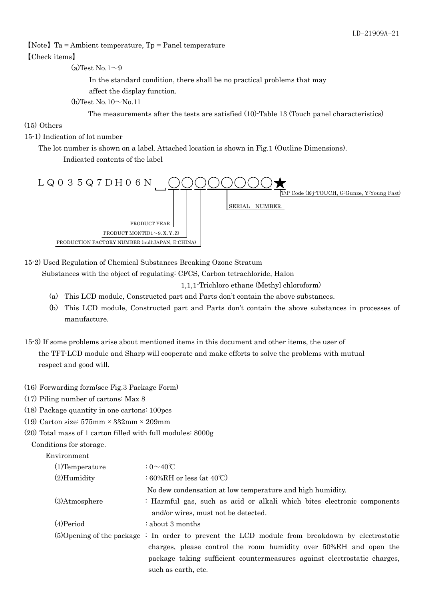#### 【Note】Ta = Ambient temperature, Tp = Panel temperature

#### 【Check items】

(a)Test No.1 $\sim$ 9

In the standard condition, there shall be no practical problems that may

affect the display function.

 $(b)$ Test No.10 $\sim$ No.11

The measurements after the tests are satisfied (10)-Table 13 (Touch panel characteristics)

#### (15) Others

### 15-1) Indication of lot number

The lot number is shown on a label. Attached location is shown in Fig.1 (Outline Dimensions).

Indicated contents of the label



15-2) Used Regulation of Chemical Substances Breaking Ozone Stratum

Substances with the object of regulating: CFCS, Carbon tetrachloride, Halon

1,1,1-Trichloro ethane (Methyl chloroform)

- (a) This LCD module, Constructed part and Parts don't contain the above substances.
- (b) This LCD module, Constructed part and Parts don't contain the above substances in processes of manufacture.
- 15-3) If some problems arise about mentioned items in this document and other items, the user of the TFT-LCD module and Sharp will cooperate and make efforts to solve the problems with mutual respect and good will.
- (16) Forwarding form(see Fig.3 Package Form)
- (17) Piling number of cartons: Max 8
- (18) Package quantity in one cartons: 100pcs
- (19) Carton size: 575mm × 332mm × 209mm
- (20) Total mass of 1 carton filled with full modules: 8000g

Conditions for storage.

Environment

| $(1)$ Temperature | : $0 \sim 40^{\circ}$ C                                                                                        |
|-------------------|----------------------------------------------------------------------------------------------------------------|
| $(2)$ Humidity    | : 60%RH or less (at $40^{\circ}$ C)                                                                            |
|                   | No dew condensation at low temperature and high humidity.                                                      |
| (3)Atmosphere     | : Harmful gas, such as acid or alkali which bites electronic components<br>and/or wires, must not be detected. |
| $(4)$ Period      | $\therefore$ about 3 months                                                                                    |
|                   | $(5)$ Opening of the package : In order to prevent the LCD module from breakdown by electrostatic              |
|                   | charges, please control the room humidity over 50%RH and open the                                              |
|                   | package taking sufficient countermeasures against electrostatic charges,                                       |
|                   | such as earth, etc.                                                                                            |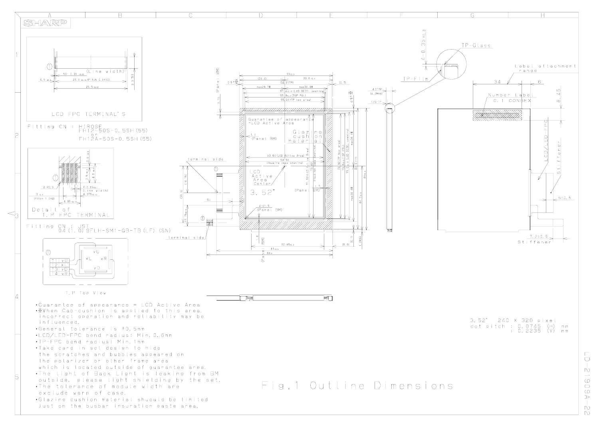

 $\Box$  $\mathbb{D}$  $\overline{\phantom{a}}$  $\circlearrowright$  $\bar{\circ}$  $\circlearrowright$  $\triangleright$  $\mathbf{I}$  $\overline{D}$  $\bigcap$ 

b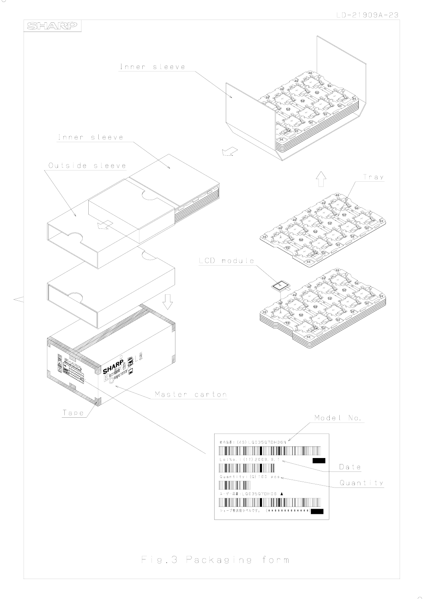